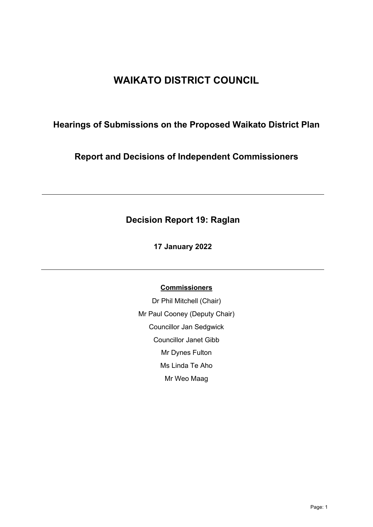# **WAIKATO DISTRICT COUNCIL**

## **Hearings of Submissions on the Proposed Waikato District Plan**

**Report and Decisions of Independent Commissioners**

## **Decision Report 19: Raglan**

**17 January 2022** 

## **Commissioners**

Dr Phil Mitchell (Chair) Mr Paul Cooney (Deputy Chair) Councillor Jan Sedgwick Councillor Janet Gibb Mr Dynes Fulton Ms Linda Te Aho Mr Weo Maag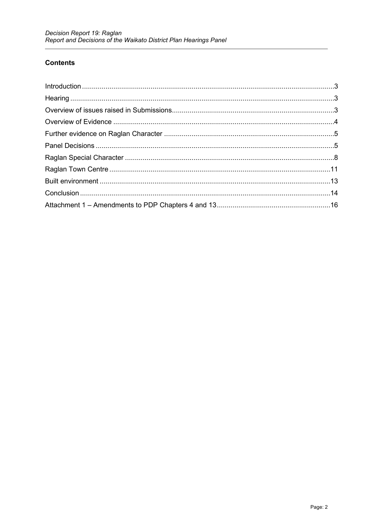## **Contents**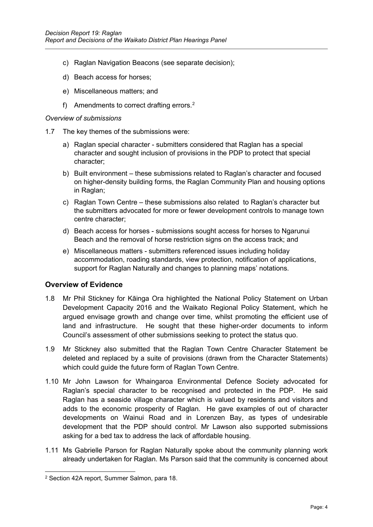- c) Raglan Navigation Beacons (see separate decision);
- d) Beach access for horses;
- e) Miscellaneous matters; and
- f) Amendments to correct drafting errors. $^{\rm 2}$  $^{\rm 2}$  $^{\rm 2}$

#### *Overview of submissions*

- 1.7 The key themes of the submissions were:
	- a) Raglan special character submitters considered that Raglan has a special character and sought inclusion of provisions in the PDP to protect that special character;
	- b) Built environment these submissions related to Raglan's character and focused on higher-density building forms, the Raglan Community Plan and housing options in Raglan;
	- c) Raglan Town Centre these submissions also related to Raglan's character but the submitters advocated for more or fewer development controls to manage town centre character;
	- d) Beach access for horses submissions sought access for horses to Ngarunui Beach and the removal of horse restriction signs on the access track; and
	- e) Miscellaneous matters submitters referenced issues including holiday accommodation, roading standards, view protection, notification of applications, support for Raglan Naturally and changes to planning maps' notations.

## <span id="page-3-0"></span>**Overview of Evidence**

- 1.8 Mr Phil Stickney for Kāinga Ora highlighted the National Policy Statement on Urban Development Capacity 2016 and the Waikato Regional Policy Statement, which he argued envisage growth and change over time, whilst promoting the efficient use of land and infrastructure. He sought that these higher-order documents to inform Council's assessment of other submissions seeking to protect the status quo.
- 1.9 Mr Stickney also submitted that the Raglan Town Centre Character Statement be deleted and replaced by a suite of provisions (drawn from the Character Statements) which could guide the future form of Raglan Town Centre.
- 1.10 Mr John Lawson for Whaingaroa Environmental Defence Society advocated for Raglan's special character to be recognised and protected in the PDP. He said Raglan has a seaside village character which is valued by residents and visitors and adds to the economic prosperity of Raglan. He gave examples of out of character developments on Wainui Road and in Lorenzen Bay, as types of undesirable development that the PDP should control. Mr Lawson also supported submissions asking for a bed tax to address the lack of affordable housing.
- 1.11 Ms Gabrielle Parson for Raglan Naturally spoke about the community planning work already undertaken for Raglan. Ms Parson said that the community is concerned about

<span id="page-3-1"></span><sup>2</sup> Section 42A report, Summer Salmon, para 18.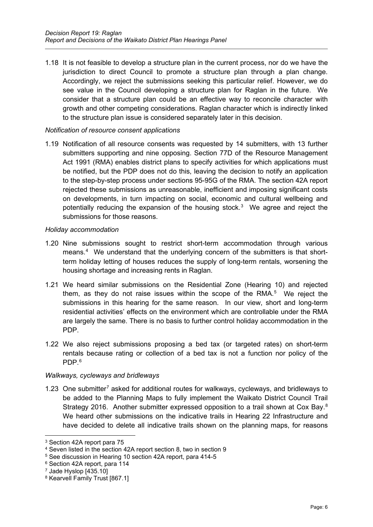1.18 It is not feasible to develop a structure plan in the current process, nor do we have the jurisdiction to direct Council to promote a structure plan through a plan change. Accordingly, we reject the submissions seeking this particular relief. However, we do see value in the Council developing a structure plan for Raglan in the future. We consider that a structure plan could be an effective way to reconcile character with growth and other competing considerations. Raglan character which is indirectly linked to the structure plan issue is considered separately later in this decision.

#### *Notification of resource consent applications*

1.19 Notification of all resource consents was requested by 14 submitters, with 13 further submitters supporting and nine opposing. Section 77D of the Resource Management Act 1991 (RMA) enables district plans to specify activities for which applications must be notified, but the PDP does not do this, leaving the decision to notify an application to the step-by-step process under sections 95-95G of the RMA. The section 42A report rejected these submissions as unreasonable, inefficient and imposing significant costs on developments, in turn impacting on social, economic and cultural wellbeing and potentially reducing the expansion of the housing stock.<sup>3</sup> We agree and reject the submissions for those reasons.

#### *Holiday accommodation*

- 1.20 Nine submissions sought to restrict short-term accommodation through various means.<sup>[4](#page-5-1)</sup> We understand that the underlying concern of the submitters is that shortterm holiday letting of houses reduces the supply of long-term rentals, worsening the housing shortage and increasing rents in Raglan.
- 1.21 We heard similar submissions on the Residential Zone (Hearing 10) and rejected them, as they do not raise issues within the scope of the  $RMA$ <sup>[5](#page-5-2)</sup> We reject the submissions in this hearing for the same reason. In our view, short and long-term residential activities' effects on the environment which are controllable under the RMA are largely the same. There is no basis to further control holiday accommodation in the PDP.
- 1.22 We also reject submissions proposing a bed tax (or targeted rates) on short-term rentals because rating or collection of a bed tax is not a function nor policy of the PDP. [6](#page-5-3)

#### *Walkways, cycleways and bridleways*

1.23 One submitter[7](#page-5-4) asked for additional routes for walkways, cycleways, and bridleways to be added to the Planning Maps to fully implement the Waikato District Council Trail Strategy 2016. Another submitter expressed opposition to a trail shown at Cox Bay.<sup>8</sup> We heard other submissions on the indicative trails in Hearing 22 Infrastructure and have decided to delete all indicative trails shown on the planning maps, for reasons

<span id="page-5-0"></span><sup>3</sup> Section 42A report para 75

<span id="page-5-1"></span><sup>4</sup> Seven listed in the section 42A report section 8, two in section 9

<span id="page-5-2"></span><sup>5</sup> See discussion in Hearing 10 section 42A report, para 414-5

<span id="page-5-3"></span><sup>6</sup> Section 42A report, para 114

<span id="page-5-4"></span><sup>7</sup> Jade Hyslop [435.10]

<span id="page-5-5"></span><sup>8</sup> Kearvell Family Trust [867.1]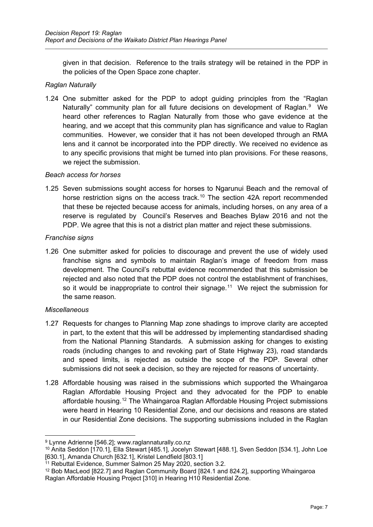given in that decision. Reference to the trails strategy will be retained in the PDP in the policies of the Open Space zone chapter.

#### *Raglan Naturally*

1.24 One submitter asked for the PDP to adopt guiding principles from the "Raglan Naturally" community plan for all future decisions on development of Raglan.<sup>[9](#page-6-0)</sup> We heard other references to Raglan Naturally from those who gave evidence at the hearing, and we accept that this community plan has significance and value to Raglan communities. However, we consider that it has not been developed through an RMA lens and it cannot be incorporated into the PDP directly. We received no evidence as to any specific provisions that might be turned into plan provisions. For these reasons, we reject the submission.

#### *Beach access for horses*

1.25 Seven submissions sought access for horses to Ngarunui Beach and the removal of horse restriction signs on the access track.<sup>[10](#page-6-1)</sup> The section 42A report recommended that these be rejected because access for animals, including horses, on any area of a reserve is regulated by Council's Reserves and Beaches Bylaw 2016 and not the PDP. We agree that this is not a district plan matter and reject these submissions.

#### *Franchise signs*

1.26 One submitter asked for policies to discourage and prevent the use of widely used franchise signs and symbols to maintain Raglan's image of freedom from mass development. The Council's rebuttal evidence recommended that this submission be rejected and also noted that the PDP does not control the establishment of franchises, so it would be inappropriate to control their signage.<sup>11</sup> We reject the submission for the same reason.

#### *Miscellaneous*

- 1.27 Requests for changes to Planning Map zone shadings to improve clarity are accepted in part, to the extent that this will be addressed by implementing standardised shading from the National Planning Standards. A submission asking for changes to existing roads (including changes to and revoking part of State Highway 23), road standards and speed limits, is rejected as outside the scope of the PDP. Several other submissions did not seek a decision, so they are rejected for reasons of uncertainty.
- 1.28 Affordable housing was raised in the submissions which supported the Whaingaroa Raglan Affordable Housing Project and they advocated for the PDP to enable affordable housing.[12](#page-6-3) The Whaingaroa Raglan Affordable Housing Project submissions were heard in Hearing 10 Residential Zone, and our decisions and reasons are stated in our Residential Zone decisions. The supporting submissions included in the Raglan

<span id="page-6-0"></span><sup>9</sup> Lynne Adrienne [546.2]; www.raglannaturally.co.nz

<span id="page-6-1"></span><sup>10</sup> Anita Seddon [170.1], Ella Stewart [485.1], Jocelyn Stewart [488.1], Sven Seddon [534.1], John Loe [630.1], Amanda Church [632.1], Kristel Lendfield [803.1]

<span id="page-6-2"></span><sup>&</sup>lt;sup>11</sup> Rebuttal Evidence, Summer Salmon 25 May 2020, section 3.2.

<span id="page-6-3"></span><sup>12</sup> Bob MacLeod [822.7] and Raglan Community Board [824.1 and 824.2], supporting Whaingaroa Raglan Affordable Housing Project [310] in Hearing H10 Residential Zone.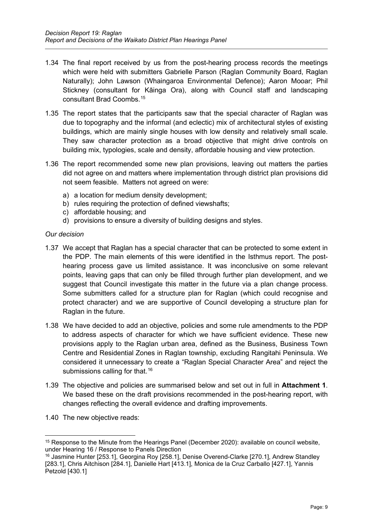- 1.34 The final report received by us from the post-hearing process records the meetings which were held with submitters Gabrielle Parson (Raglan Community Board, Raglan Naturally); John Lawson (Whaingaroa Environmental Defence); Aaron Mooar; Phil Stickney (consultant for Kāinga Ora), along with Council staff and landscaping consultant Brad Coombs.[15](#page-8-0)
- 1.35 The report states that the participants saw that the special character of Raglan was due to topography and the informal (and eclectic) mix of architectural styles of existing buildings, which are mainly single houses with low density and relatively small scale. They saw character protection as a broad objective that might drive controls on building mix, typologies, scale and density, affordable housing and view protection.
- 1.36 The report recommended some new plan provisions, leaving out matters the parties did not agree on and matters where implementation through district plan provisions did not seem feasible. Matters not agreed on were:
	- a) a location for medium density development;
	- b) rules requiring the protection of defined viewshafts;
	- c) affordable housing; and
	- d) provisions to ensure a diversity of building designs and styles.

#### *Our decision*

- 1.37 We accept that Raglan has a special character that can be protected to some extent in the PDP. The main elements of this were identified in the Isthmus report. The posthearing process gave us limited assistance. It was inconclusive on some relevant points, leaving gaps that can only be filled through further plan development, and we suggest that Council investigate this matter in the future via a plan change process. Some submitters called for a structure plan for Raglan (which could recognise and protect character) and we are supportive of Council developing a structure plan for Raglan in the future.
- 1.38 We have decided to add an objective, policies and some rule amendments to the PDP to address aspects of character for which we have sufficient evidence. These new provisions apply to the Raglan urban area, defined as the Business, Business Town Centre and Residential Zones in Raglan township, excluding Rangitahi Peninsula. We considered it unnecessary to create a "Raglan Special Character Area" and reject the submissions calling for that.<sup>16</sup>
- 1.39 The objective and policies are summarised below and set out in full in **Attachment 1**. We based these on the draft provisions recommended in the post-hearing report, with changes reflecting the overall evidence and drafting improvements.
- 1.40 The new objective reads:

<span id="page-8-0"></span><sup>15</sup> Response to the Minute from the Hearings Panel (December 2020): available on council website, under Hearing 16 / Response to Panels Direction

<span id="page-8-1"></span><sup>16</sup> Jasmine Hunter [253.1], Georgina Roy [258.1], Denise Overend-Clarke [270.1], Andrew Standley [283.1], Chris Aitchison [284.1], Danielle Hart [413.1], Monica de la Cruz Carballo [427.1], Yannis Petzold [430.1]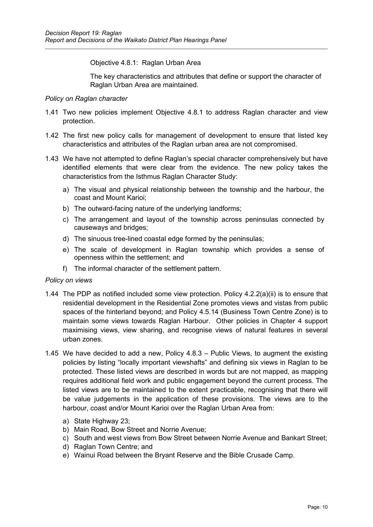Objective 4.8.1: Raglan Urban Area

The key characteristics and attributes that define or support the character of Raglan Urban Area are maintained.

#### *Policy on Raglan character*

- 1.41 Two new policies implement Objective 4.8.1 to address Raglan character and view protection.
- 1.42 The first new policy calls for management of development to ensure that listed key characteristics and attributes of the Raglan urban area are not compromised.
- 1.43 We have not attempted to define Raglan's special character comprehensively but have identified elements that were clear from the evidence. The new policy takes the characteristics from the Isthmus Raglan Character Study:
	- a) The visual and physical relationship between the township and the harbour, the coast and Mount Karioi;
	- b) The outward-facing nature of the underlying landforms;
	- c) The arrangement and layout of the township across peninsulas connected by causeways and bridges;
	- d) The sinuous tree-lined coastal edge formed by the peninsulas;
	- e) The scale of development in Raglan township which provides a sense of openness within the settlement; and
	- f) The informal character of the settlement pattern.

#### *Policy on views*

- 1.44 The PDP as notified included some view protection. Policy 4.2.2(a)(ii) is to ensure that residential development in the Residential Zone promotes views and vistas from public spaces of the hinterland beyond; and Policy 4.5.14 (Business Town Centre Zone) is to maintain some views towards Raglan Harbour. Other policies in Chapter 4 support maximising views, view sharing, and recognise views of natural features in several urban zones.
- 1.45 We have decided to add a new, Policy 4.8.3 Public Views, to augment the existing policies by listing "locally important viewshafts" and defining six views in Raglan to be protected. These listed views are described in words but are not mapped, as mapping requires additional field work and public engagement beyond the current process. The listed views are to be maintained to the extent practicable, recognising that there will be value judgements in the application of these provisions. The views are to the harbour, coast and/or Mount Karioi over the Raglan Urban Area from:
	- a) State Highway 23;
	- b) Main Road, Bow Street and Norrie Avenue;
	- c) South and west views from Bow Street between Norrie Avenue and Bankart Street;
	- d) Raglan Town Centre; and
	- e) Wainui Road between the Bryant Reserve and the Bible Crusade Camp.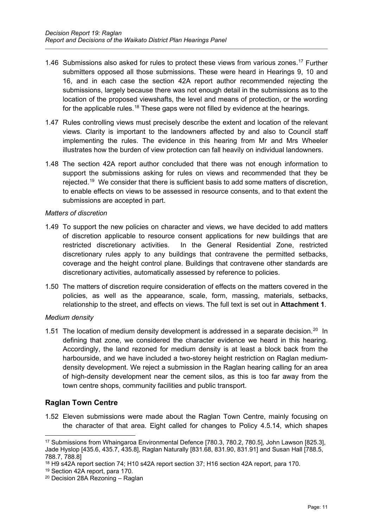- 1.46 Submissions also asked for rules to protect these views from various zones. [17](#page-10-1) Further submitters opposed all those submissions. These were heard in Hearings 9, 10 and 16, and in each case the section 42A report author recommended rejecting the submissions, largely because there was not enough detail in the submissions as to the location of the proposed viewshafts, the level and means of protection, or the wording for the applicable rules.<sup>[18](#page-10-2)</sup> These gaps were not filled by evidence at the hearings.
- 1.47 Rules controlling views must precisely describe the extent and location of the relevant views. Clarity is important to the landowners affected by and also to Council staff implementing the rules. The evidence in this hearing from Mr and Mrs Wheeler illustrates how the burden of view protection can fall heavily on individual landowners.
- 1.48 The section 42A report author concluded that there was not enough information to support the submissions asking for rules on views and recommended that they be rejected.<sup>19</sup> We consider that there is sufficient basis to add some matters of discretion, to enable effects on views to be assessed in resource consents, and to that extent the submissions are accepted in part.

#### *Matters of discretion*

- 1.49 To support the new policies on character and views, we have decided to add matters of discretion applicable to resource consent applications for new buildings that are restricted discretionary activities. In the General Residential Zone, restricted discretionary rules apply to any buildings that contravene the permitted setbacks, coverage and the height control plane. Buildings that contravene other standards are discretionary activities, automatically assessed by reference to policies.
- 1.50 The matters of discretion require consideration of effects on the matters covered in the policies, as well as the appearance, scale, form, massing, materials, setbacks, relationship to the street, and effects on views. The full text is set out in **Attachment 1**.

#### *Medium density*

1.51 The location of medium density development is addressed in a separate decision.<sup>20</sup> In defining that zone, we considered the character evidence we heard in this hearing. Accordingly, the land rezoned for medium density is at least a block back from the harbourside, and we have included a two-storey height restriction on Raglan mediumdensity development. We reject a submission in the Raglan hearing calling for an area of high-density development near the cement silos, as this is too far away from the town centre shops, community facilities and public transport.

## <span id="page-10-0"></span>**Raglan Town Centre**

1.52 Eleven submissions were made about the Raglan Town Centre, mainly focusing on the character of that area. Eight called for changes to Policy 4.5.14, which shapes

<span id="page-10-1"></span><sup>17</sup> Submissions from Whaingaroa Environmental Defence [780.3, 780.2, 780.5], John Lawson [825.3], Jade Hyslop [435.6, 435.7, 435.8], Raglan Naturally [831.68, 831.90, 831.91] and Susan Hall [788.5, 788.7, 788.8]

<span id="page-10-2"></span><sup>18</sup> H9 s42A report section 74; H10 s42A report section 37; H16 section 42A report, para 170.

<span id="page-10-3"></span><sup>19</sup> Section 42A report, para 170.

<span id="page-10-4"></span><sup>20</sup> Decision 28A Rezoning – Raglan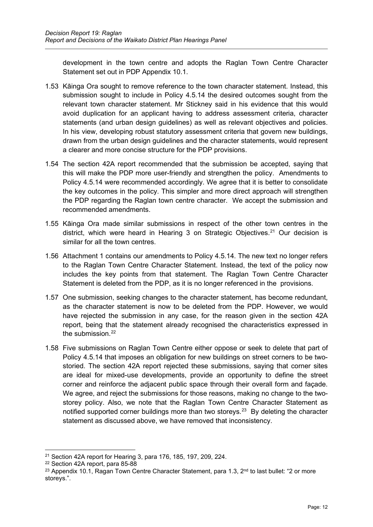development in the town centre and adopts the Raglan Town Centre Character Statement set out in PDP Appendix 10.1.

- 1.53 Kāinga Ora sought to remove reference to the town character statement. Instead, this submission sought to include in Policy 4.5.14 the desired outcomes sought from the relevant town character statement. Mr Stickney said in his evidence that this would avoid duplication for an applicant having to address assessment criteria, character statements (and urban design guidelines) as well as relevant objectives and policies. In his view, developing robust statutory assessment criteria that govern new buildings, drawn from the urban design guidelines and the character statements, would represent a clearer and more concise structure for the PDP provisions.
- 1.54 The section 42A report recommended that the submission be accepted, saying that this will make the PDP more user-friendly and strengthen the policy. Amendments to Policy 4.5.14 were recommended accordingly. We agree that it is better to consolidate the key outcomes in the policy. This simpler and more direct approach will strengthen the PDP regarding the Raglan town centre character. We accept the submission and recommended amendments.
- 1.55 Kāinga Ora made similar submissions in respect of the other town centres in the district, which were heard in Hearing 3 on Strategic Objectives.<sup>[21](#page-11-0)</sup> Our decision is similar for all the town centres.
- 1.56 Attachment 1 contains our amendments to Policy 4.5.14. The new text no longer refers to the Raglan Town Centre Character Statement. Instead, the text of the policy now includes the key points from that statement. The Raglan Town Centre Character Statement is deleted from the PDP, as it is no longer referenced in the provisions.
- 1.57 One submission, seeking changes to the character statement, has become redundant, as the character statement is now to be deleted from the PDP. However, we would have rejected the submission in any case, for the reason given in the section 42A report, being that the statement already recognised the characteristics expressed in the submission  $22$
- 1.58 Five submissions on Raglan Town Centre either oppose or seek to delete that part of Policy 4.5.14 that imposes an obligation for new buildings on street corners to be twostoried. The section 42A report rejected these submissions, saying that corner sites are ideal for mixed-use developments, provide an opportunity to define the street corner and reinforce the adjacent public space through their overall form and façade. We agree, and reject the submissions for those reasons, making no change to the twostorey policy. Also, we note that the Raglan Town Centre Character Statement as notified supported corner buildings more than two storeys.<sup>23</sup> By deleting the character statement as discussed above, we have removed that inconsistency.

<span id="page-11-0"></span><sup>21</sup> Section 42A report for Hearing 3, para 176, 185, 197, 209, 224.

<span id="page-11-1"></span><sup>22</sup> Section 42A report, para 85-88

<span id="page-11-2"></span><sup>&</sup>lt;sup>23</sup> Appendix 10.1, Ragan Town Centre Character Statement, para 1.3,  $2<sup>nd</sup>$  to last bullet: "2 or more storeys.".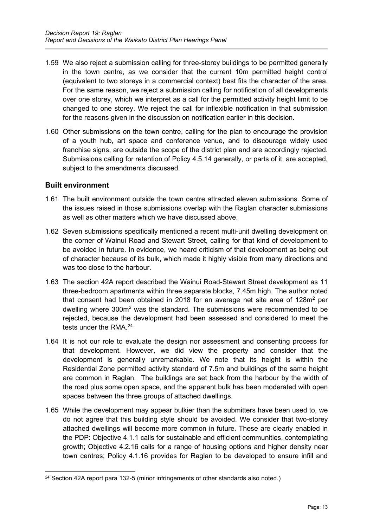- 1.59 We also reject a submission calling for three-storey buildings to be permitted generally in the town centre, as we consider that the current 10m permitted height control (equivalent to two storeys in a commercial context) best fits the character of the area. For the same reason, we reject a submission calling for notification of all developments over one storey, which we interpret as a call for the permitted activity height limit to be changed to one storey. We reject the call for inflexible notification in that submission for the reasons given in the discussion on notification earlier in this decision.
- 1.60 Other submissions on the town centre, calling for the plan to encourage the provision of a youth hub, art space and conference venue, and to discourage widely used franchise signs, are outside the scope of the district plan and are accordingly rejected. Submissions calling for retention of Policy 4.5.14 generally, or parts of it, are accepted, subject to the amendments discussed.

## <span id="page-12-0"></span>**Built environment**

- 1.61 The built environment outside the town centre attracted eleven submissions. Some of the issues raised in those submissions overlap with the Raglan character submissions as well as other matters which we have discussed above.
- 1.62 Seven submissions specifically mentioned a recent multi-unit dwelling development on the corner of Wainui Road and Stewart Street, calling for that kind of development to be avoided in future. In evidence, we heard criticism of that development as being out of character because of its bulk, which made it highly visible from many directions and was too close to the harbour.
- 1.63 The section 42A report described the Wainui Road-Stewart Street development as 11 three-bedroom apartments within three separate blocks, 7.45m high. The author noted that consent had been obtained in 2018 for an average net site area of  $128m^2$  per dwelling where 300m<sup>2</sup> was the standard. The submissions were recommended to be rejected, because the development had been assessed and considered to meet the tests under the RMA  $^{24}$
- 1.64 It is not our role to evaluate the design nor assessment and consenting process for that development. However, we did view the property and consider that the development is generally unremarkable. We note that its height is within the Residential Zone permitted activity standard of 7.5m and buildings of the same height are common in Raglan. The buildings are set back from the harbour by the width of the road plus some open space, and the apparent bulk has been moderated with open spaces between the three groups of attached dwellings.
- 1.65 While the development may appear bulkier than the submitters have been used to, we do not agree that this building style should be avoided. We consider that two-storey attached dwellings will become more common in future. These are clearly enabled in the PDP: Objective 4.1.1 calls for sustainable and efficient communities, contemplating growth; Objective 4.2.16 calls for a range of housing options and higher density near town centres; Policy 4.1.16 provides for Raglan to be developed to ensure infill and

<span id="page-12-1"></span><sup>24</sup> Section 42A report para 132-5 (minor infringements of other standards also noted.)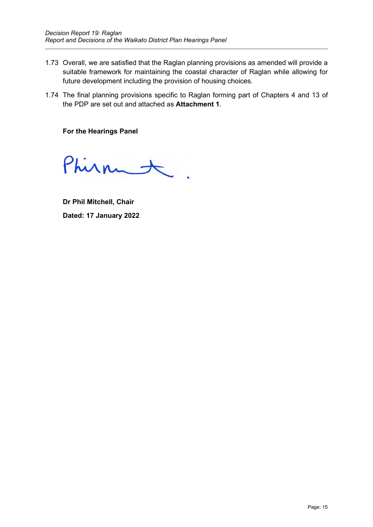- 1.73 Overall, we are satisfied that the Raglan planning provisions as amended will provide a suitable framework for maintaining the coastal character of Raglan while allowing for future development including the provision of housing choices.
- 1.74 The final planning provisions specific to Raglan forming part of Chapters 4 and 13 of the PDP are set out and attached as **Attachment 1**.

**For the Hearings Panel**

Phirmet.

**Dr Phil Mitchell, Chair Dated: 17 January 2022**